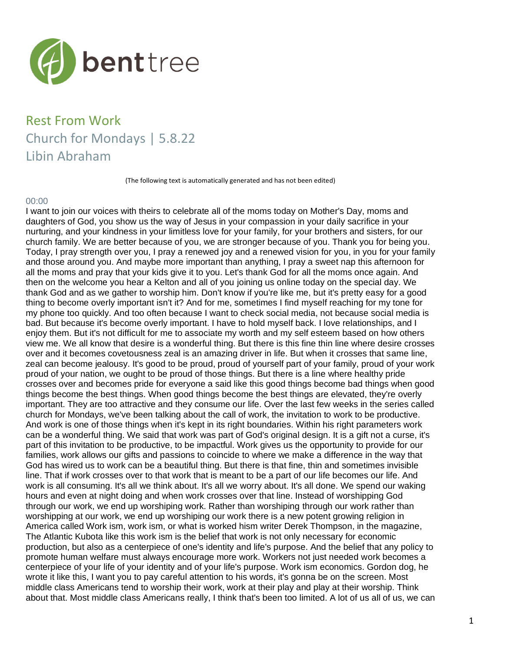

# Rest From Work Church for Mondays | 5.8.22 Libin Abraham

(The following text is automatically generated and has not been edited)

### 00:00

I want to join our voices with theirs to celebrate all of the moms today on Mother's Day, moms and daughters of God, you show us the way of Jesus in your compassion in your daily sacrifice in your nurturing, and your kindness in your limitless love for your family, for your brothers and sisters, for our church family. We are better because of you, we are stronger because of you. Thank you for being you. Today, I pray strength over you, I pray a renewed joy and a renewed vision for you, in you for your family and those around you. And maybe more important than anything, I pray a sweet nap this afternoon for all the moms and pray that your kids give it to you. Let's thank God for all the moms once again. And then on the welcome you hear a Kelton and all of you joining us online today on the special day. We thank God and as we gather to worship him. Don't know if you're like me, but it's pretty easy for a good thing to become overly important isn't it? And for me, sometimes I find myself reaching for my tone for my phone too quickly. And too often because I want to check social media, not because social media is bad. But because it's become overly important. I have to hold myself back. I love relationships, and I enjoy them. But it's not difficult for me to associate my worth and my self esteem based on how others view me. We all know that desire is a wonderful thing. But there is this fine thin line where desire crosses over and it becomes covetousness zeal is an amazing driver in life. But when it crosses that same line, zeal can become jealousy. It's good to be proud, proud of yourself part of your family, proud of your work proud of your nation, we ought to be proud of those things. But there is a line where healthy pride crosses over and becomes pride for everyone a said like this good things become bad things when good things become the best things. When good things become the best things are elevated, they're overly important. They are too attractive and they consume our life. Over the last few weeks in the series called church for Mondays, we've been talking about the call of work, the invitation to work to be productive. And work is one of those things when it's kept in its right boundaries. Within his right parameters work can be a wonderful thing. We said that work was part of God's original design. It is a gift not a curse, it's part of this invitation to be productive, to be impactful. Work gives us the opportunity to provide for our families, work allows our gifts and passions to coincide to where we make a difference in the way that God has wired us to work can be a beautiful thing. But there is that fine, thin and sometimes invisible line. That if work crosses over to that work that is meant to be a part of our life becomes our life. And work is all consuming. It's all we think about. It's all we worry about. It's all done. We spend our waking hours and even at night doing and when work crosses over that line. Instead of worshipping God through our work, we end up worshiping work. Rather than worshiping through our work rather than worshipping at our work, we end up worshiping our work there is a new potent growing religion in America called Work ism, work ism, or what is worked hism writer Derek Thompson, in the magazine, The Atlantic Kubota like this work ism is the belief that work is not only necessary for economic production, but also as a centerpiece of one's identity and life's purpose. And the belief that any policy to promote human welfare must always encourage more work. Workers not just needed work becomes a centerpiece of your life of your identity and of your life's purpose. Work ism economics. Gordon dog, he wrote it like this, I want you to pay careful attention to his words, it's gonna be on the screen. Most middle class Americans tend to worship their work, work at their play and play at their worship. Think about that. Most middle class Americans really, I think that's been too limited. A lot of us all of us, we can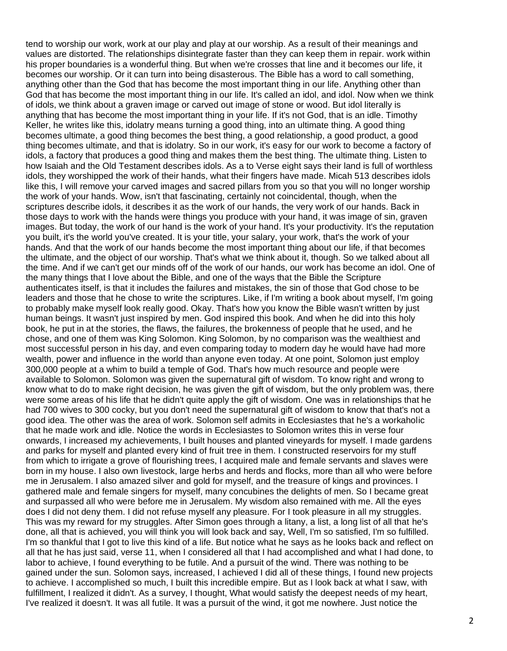tend to worship our work, work at our play and play at our worship. As a result of their meanings and values are distorted. The relationships disintegrate faster than they can keep them in repair. work within his proper boundaries is a wonderful thing. But when we're crosses that line and it becomes our life, it becomes our worship. Or it can turn into being disasterous. The Bible has a word to call something, anything other than the God that has become the most important thing in our life. Anything other than God that has become the most important thing in our life. It's called an idol, and idol. Now when we think of idols, we think about a graven image or carved out image of stone or wood. But idol literally is anything that has become the most important thing in your life. If it's not God, that is an idle. Timothy Keller, he writes like this, idolatry means turning a good thing, into an ultimate thing. A good thing becomes ultimate, a good thing becomes the best thing, a good relationship, a good product, a good thing becomes ultimate, and that is idolatry. So in our work, it's easy for our work to become a factory of idols, a factory that produces a good thing and makes them the best thing. The ultimate thing. Listen to how Isaiah and the Old Testament describes idols. As a to Verse eight says their land is full of worthless idols, they worshipped the work of their hands, what their fingers have made. Micah 513 describes idols like this, I will remove your carved images and sacred pillars from you so that you will no longer worship the work of your hands. Wow, isn't that fascinating, certainly not coincidental, though, when the scriptures describe idols, it describes it as the work of our hands, the very work of our hands. Back in those days to work with the hands were things you produce with your hand, it was image of sin, graven images. But today, the work of our hand is the work of your hand. It's your productivity. It's the reputation you built, it's the world you've created. It is your title, your salary, your work, that's the work of your hands. And that the work of our hands become the most important thing about our life, if that becomes the ultimate, and the object of our worship. That's what we think about it, though. So we talked about all the time. And if we can't get our minds off of the work of our hands, our work has become an idol. One of the many things that I love about the Bible, and one of the ways that the Bible the Scripture authenticates itself, is that it includes the failures and mistakes, the sin of those that God chose to be leaders and those that he chose to write the scriptures. Like, if I'm writing a book about myself, I'm going to probably make myself look really good. Okay. That's how you know the Bible wasn't written by just human beings. It wasn't just inspired by men. God inspired this book. And when he did into this holy book, he put in at the stories, the flaws, the failures, the brokenness of people that he used, and he chose, and one of them was King Solomon. King Solomon, by no comparison was the wealthiest and most successful person in his day, and even comparing today to modern day he would have had more wealth, power and influence in the world than anyone even today. At one point, Solomon just employ 300,000 people at a whim to build a temple of God. That's how much resource and people were available to Solomon. Solomon was given the supernatural gift of wisdom. To know right and wrong to know what to do to make right decision, he was given the gift of wisdom, but the only problem was, there were some areas of his life that he didn't quite apply the gift of wisdom. One was in relationships that he had 700 wives to 300 cocky, but you don't need the supernatural gift of wisdom to know that that's not a good idea. The other was the area of work. Solomon self admits in Ecclesiastes that he's a workaholic that he made work and idle. Notice the words in Ecclesiastes to Solomon writes this in verse four onwards, I increased my achievements, I built houses and planted vineyards for myself. I made gardens and parks for myself and planted every kind of fruit tree in them. I constructed reservoirs for my stuff from which to irrigate a grove of flourishing trees, I acquired male and female servants and slaves were born in my house. I also own livestock, large herbs and herds and flocks, more than all who were before me in Jerusalem. I also amazed silver and gold for myself, and the treasure of kings and provinces. I gathered male and female singers for myself, many concubines the delights of men. So I became great and surpassed all who were before me in Jerusalem. My wisdom also remained with me. All the eyes does I did not deny them. I did not refuse myself any pleasure. For I took pleasure in all my struggles. This was my reward for my struggles. After Simon goes through a litany, a list, a long list of all that he's done, all that is achieved, you will think you will look back and say, Well, I'm so satisfied, I'm so fulfilled. I'm so thankful that I got to live this kind of a life. But notice what he says as he looks back and reflect on all that he has just said, verse 11, when I considered all that I had accomplished and what I had done, to labor to achieve, I found everything to be futile. And a pursuit of the wind. There was nothing to be gained under the sun. Solomon says, increased, I achieved I did all of these things, I found new projects to achieve. I accomplished so much, I built this incredible empire. But as I look back at what I saw, with fulfillment, I realized it didn't. As a survey, I thought, What would satisfy the deepest needs of my heart, I've realized it doesn't. It was all futile. It was a pursuit of the wind, it got me nowhere. Just notice the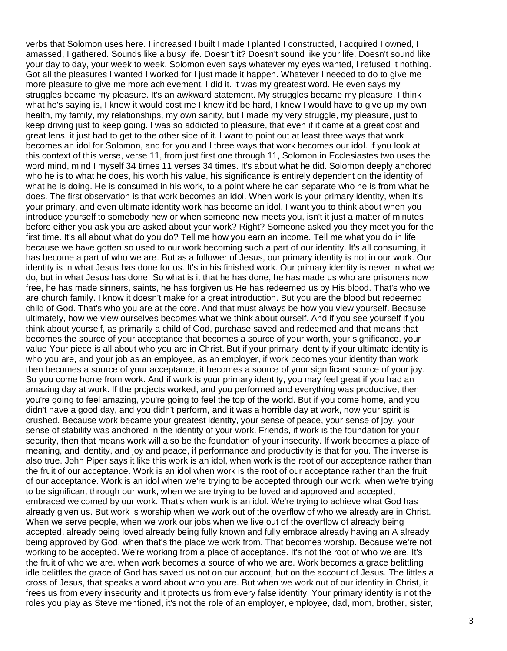verbs that Solomon uses here. I increased I built I made I planted I constructed, I acquired I owned, I amassed, I gathered. Sounds like a busy life. Doesn't it? Doesn't sound like your life. Doesn't sound like your day to day, your week to week. Solomon even says whatever my eyes wanted, I refused it nothing. Got all the pleasures I wanted I worked for I just made it happen. Whatever I needed to do to give me more pleasure to give me more achievement. I did it. It was my greatest word. He even says my struggles became my pleasure. It's an awkward statement. My struggles became my pleasure. I think what he's saying is, I knew it would cost me I knew it'd be hard, I knew I would have to give up my own health, my family, my relationships, my own sanity, but I made my very struggle, my pleasure, just to keep driving just to keep going. I was so addicted to pleasure, that even if it came at a great cost and great lens, it just had to get to the other side of it. I want to point out at least three ways that work becomes an idol for Solomon, and for you and I three ways that work becomes our idol. If you look at this context of this verse, verse 11, from just first one through 11, Solomon in Ecclesiastes two uses the word mind, mind I myself 34 times 11 verses 34 times. It's about what he did. Solomon deeply anchored who he is to what he does, his worth his value, his significance is entirely dependent on the identity of what he is doing. He is consumed in his work, to a point where he can separate who he is from what he does. The first observation is that work becomes an idol. When work is your primary identity, when it's your primary, and even ultimate identity work has become an idol. I want you to think about when you introduce yourself to somebody new or when someone new meets you, isn't it just a matter of minutes before either you ask you are asked about your work? Right? Someone asked you they meet you for the first time. It's all about what do you do? Tell me how you earn an income. Tell me what you do in life because we have gotten so used to our work becoming such a part of our identity. It's all consuming, it has become a part of who we are. But as a follower of Jesus, our primary identity is not in our work. Our identity is in what Jesus has done for us. It's in his finished work. Our primary identity is never in what we do, but in what Jesus has done. So what is it that he has done, he has made us who are prisoners now free, he has made sinners, saints, he has forgiven us He has redeemed us by His blood. That's who we are church family. I know it doesn't make for a great introduction. But you are the blood but redeemed child of God. That's who you are at the core. And that must always be how you view yourself. Because ultimately, how we view ourselves becomes what we think about ourself. And if you see yourself if you think about yourself, as primarily a child of God, purchase saved and redeemed and that means that becomes the source of your acceptance that becomes a source of your worth, your significance, your value Your piece is all about who you are in Christ. But if your primary identity if your ultimate identity is who you are, and your job as an employee, as an employer, if work becomes your identity than work then becomes a source of your acceptance, it becomes a source of your significant source of your joy. So you come home from work. And if work is your primary identity, you may feel great if you had an amazing day at work. If the projects worked, and you performed and everything was productive, then you're going to feel amazing, you're going to feel the top of the world. But if you come home, and you didn't have a good day, and you didn't perform, and it was a horrible day at work, now your spirit is crushed. Because work became your greatest identity, your sense of peace, your sense of joy, your sense of stability was anchored in the identity of your work. Friends, if work is the foundation for your security, then that means work will also be the foundation of your insecurity. If work becomes a place of meaning, and identity, and joy and peace, if performance and productivity is that for you. The inverse is also true. John Piper says it like this work is an idol, when work is the root of our acceptance rather than the fruit of our acceptance. Work is an idol when work is the root of our acceptance rather than the fruit of our acceptance. Work is an idol when we're trying to be accepted through our work, when we're trying to be significant through our work, when we are trying to be loved and approved and accepted, embraced welcomed by our work. That's when work is an idol. We're trying to achieve what God has already given us. But work is worship when we work out of the overflow of who we already are in Christ. When we serve people, when we work our jobs when we live out of the overflow of already being accepted. already being loved already being fully known and fully embrace already having an A already being approved by God, when that's the place we work from. That becomes worship. Because we're not working to be accepted. We're working from a place of acceptance. It's not the root of who we are. It's the fruit of who we are. when work becomes a source of who we are. Work becomes a grace belittling idle belittles the grace of God has saved us not on our account, but on the account of Jesus. The littles a cross of Jesus, that speaks a word about who you are. But when we work out of our identity in Christ, it frees us from every insecurity and it protects us from every false identity. Your primary identity is not the roles you play as Steve mentioned, it's not the role of an employer, employee, dad, mom, brother, sister,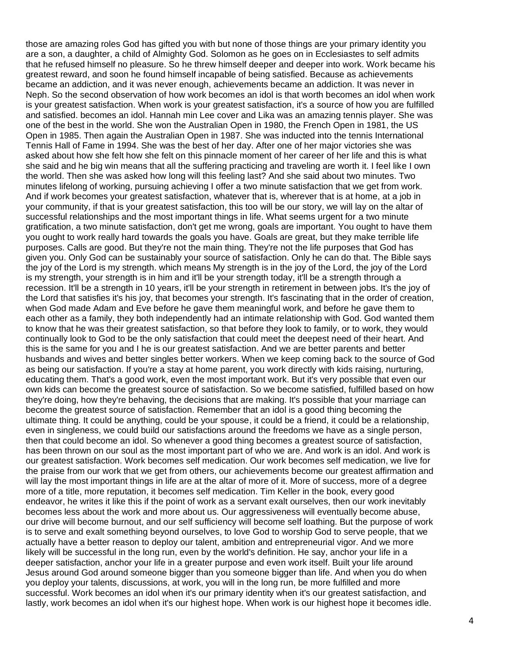those are amazing roles God has gifted you with but none of those things are your primary identity you are a son, a daughter, a child of Almighty God. Solomon as he goes on in Ecclesiastes to self admits that he refused himself no pleasure. So he threw himself deeper and deeper into work. Work became his greatest reward, and soon he found himself incapable of being satisfied. Because as achievements became an addiction, and it was never enough, achievements became an addiction. It was never in Neph. So the second observation of how work becomes an idol is that worth becomes an idol when work is your greatest satisfaction. When work is your greatest satisfaction, it's a source of how you are fulfilled and satisfied. becomes an idol. Hannah min Lee cover and Lika was an amazing tennis player. She was one of the best in the world. She won the Australian Open in 1980, the French Open in 1981, the US Open in 1985. Then again the Australian Open in 1987. She was inducted into the tennis International Tennis Hall of Fame in 1994. She was the best of her day. After one of her major victories she was asked about how she felt how she felt on this pinnacle moment of her career of her life and this is what she said and he big win means that all the suffering practicing and traveling are worth it. I feel like I own the world. Then she was asked how long will this feeling last? And she said about two minutes. Two minutes lifelong of working, pursuing achieving I offer a two minute satisfaction that we get from work. And if work becomes your greatest satisfaction, whatever that is, wherever that is at home, at a job in your community, if that is your greatest satisfaction, this too will be our story, we will lay on the altar of successful relationships and the most important things in life. What seems urgent for a two minute gratification, a two minute satisfaction, don't get me wrong, goals are important. You ought to have them you ought to work really hard towards the goals you have. Goals are great, but they make terrible life purposes. Calls are good. But they're not the main thing. They're not the life purposes that God has given you. Only God can be sustainably your source of satisfaction. Only he can do that. The Bible says the joy of the Lord is my strength. which means My strength is in the joy of the Lord, the joy of the Lord is my strength, your strength is in him and it'll be your strength today, it'll be a strength through a recession. It'll be a strength in 10 years, it'll be your strength in retirement in between jobs. It's the joy of the Lord that satisfies it's his joy, that becomes your strength. It's fascinating that in the order of creation, when God made Adam and Eve before he gave them meaningful work, and before he gave them to each other as a family, they both independently had an intimate relationship with God. God wanted them to know that he was their greatest satisfaction, so that before they look to family, or to work, they would continually look to God to be the only satisfaction that could meet the deepest need of their heart. And this is the same for you and I he is our greatest satisfaction. And we are better parents and better husbands and wives and better singles better workers. When we keep coming back to the source of God as being our satisfaction. If you're a stay at home parent, you work directly with kids raising, nurturing, educating them. That's a good work, even the most important work. But it's very possible that even our own kids can become the greatest source of satisfaction. So we become satisfied, fulfilled based on how they're doing, how they're behaving, the decisions that are making. It's possible that your marriage can become the greatest source of satisfaction. Remember that an idol is a good thing becoming the ultimate thing. It could be anything, could be your spouse, it could be a friend, it could be a relationship, even in singleness, we could build our satisfactions around the freedoms we have as a single person, then that could become an idol. So whenever a good thing becomes a greatest source of satisfaction, has been thrown on our soul as the most important part of who we are. And work is an idol. And work is our greatest satisfaction. Work becomes self medication. Our work becomes self medication, we live for the praise from our work that we get from others, our achievements become our greatest affirmation and will lay the most important things in life are at the altar of more of it. More of success, more of a degree more of a title, more reputation, it becomes self medication. Tim Keller in the book, every good endeavor, he writes it like this if the point of work as a servant exalt ourselves, then our work inevitably becomes less about the work and more about us. Our aggressiveness will eventually become abuse, our drive will become burnout, and our self sufficiency will become self loathing. But the purpose of work is to serve and exalt something beyond ourselves, to love God to worship God to serve people, that we actually have a better reason to deploy our talent, ambition and entrepreneurial vigor. And we more likely will be successful in the long run, even by the world's definition. He say, anchor your life in a deeper satisfaction, anchor your life in a greater purpose and even work itself. Built your life around Jesus around God around someone bigger than you someone bigger than life. And when you do when you deploy your talents, discussions, at work, you will in the long run, be more fulfilled and more successful. Work becomes an idol when it's our primary identity when it's our greatest satisfaction, and lastly, work becomes an idol when it's our highest hope. When work is our highest hope it becomes idle.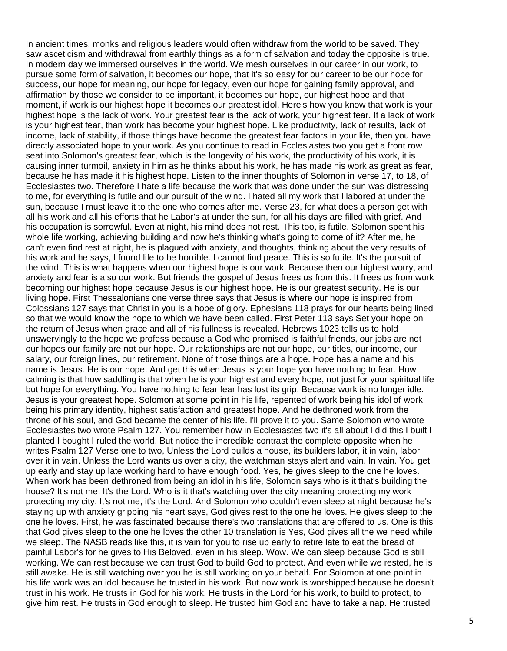In ancient times, monks and religious leaders would often withdraw from the world to be saved. They saw asceticism and withdrawal from earthly things as a form of salvation and today the opposite is true. In modern day we immersed ourselves in the world. We mesh ourselves in our career in our work, to pursue some form of salvation, it becomes our hope, that it's so easy for our career to be our hope for success, our hope for meaning, our hope for legacy, even our hope for gaining family approval, and affirmation by those we consider to be important, it becomes our hope, our highest hope and that moment, if work is our highest hope it becomes our greatest idol. Here's how you know that work is your highest hope is the lack of work. Your greatest fear is the lack of work, your highest fear. If a lack of work is your highest fear, than work has become your highest hope. Like productivity, lack of results, lack of income, lack of stability, if those things have become the greatest fear factors in your life, then you have directly associated hope to your work. As you continue to read in Ecclesiastes two you get a front row seat into Solomon's greatest fear, which is the longevity of his work, the productivity of his work, it is causing inner turmoil, anxiety in him as he thinks about his work, he has made his work as great as fear, because he has made it his highest hope. Listen to the inner thoughts of Solomon in verse 17, to 18, of Ecclesiastes two. Therefore I hate a life because the work that was done under the sun was distressing to me, for everything is futile and our pursuit of the wind. I hated all my work that I labored at under the sun, because I must leave it to the one who comes after me. Verse 23, for what does a person get with all his work and all his efforts that he Labor's at under the sun, for all his days are filled with grief. And his occupation is sorrowful. Even at night, his mind does not rest. This too, is futile. Solomon spent his whole life working, achieving building and now he's thinking what's going to come of it? After me, he can't even find rest at night, he is plagued with anxiety, and thoughts, thinking about the very results of his work and he says, I found life to be horrible. I cannot find peace. This is so futile. It's the pursuit of the wind. This is what happens when our highest hope is our work. Because then our highest worry, and anxiety and fear is also our work. But friends the gospel of Jesus frees us from this. It frees us from work becoming our highest hope because Jesus is our highest hope. He is our greatest security. He is our living hope. First Thessalonians one verse three says that Jesus is where our hope is inspired from Colossians 127 says that Christ in you is a hope of glory. Ephesians 118 prays for our hearts being lined so that we would know the hope to which we have been called. First Peter 113 says Set your hope on the return of Jesus when grace and all of his fullness is revealed. Hebrews 1023 tells us to hold unswervingly to the hope we profess because a God who promised is faithful friends, our jobs are not our hopes our family are not our hope. Our relationships are not our hope, our titles, our income, our salary, our foreign lines, our retirement. None of those things are a hope. Hope has a name and his name is Jesus. He is our hope. And get this when Jesus is your hope you have nothing to fear. How calming is that how saddling is that when he is your highest and every hope, not just for your spiritual life but hope for everything. You have nothing to fear fear has lost its grip. Because work is no longer idle. Jesus is your greatest hope. Solomon at some point in his life, repented of work being his idol of work being his primary identity, highest satisfaction and greatest hope. And he dethroned work from the throne of his soul, and God became the center of his life. I'll prove it to you. Same Solomon who wrote Ecclesiastes two wrote Psalm 127. You remember how in Ecclesiastes two it's all about I did this I built I planted I bought I ruled the world. But notice the incredible contrast the complete opposite when he writes Psalm 127 Verse one to two, Unless the Lord builds a house, its builders labor, it in vain, labor over it in vain. Unless the Lord wants us over a city, the watchman stays alert and vain. In vain. You get up early and stay up late working hard to have enough food. Yes, he gives sleep to the one he loves. When work has been dethroned from being an idol in his life, Solomon says who is it that's building the house? It's not me. It's the Lord. Who is it that's watching over the city meaning protecting my work protecting my city. It's not me, it's the Lord. And Solomon who couldn't even sleep at night because he's staying up with anxiety gripping his heart says, God gives rest to the one he loves. He gives sleep to the one he loves. First, he was fascinated because there's two translations that are offered to us. One is this that God gives sleep to the one he loves the other 10 translation is Yes, God gives all the we need while we sleep. The NASB reads like this, it is vain for you to rise up early to retire late to eat the bread of painful Labor's for he gives to His Beloved, even in his sleep. Wow. We can sleep because God is still working. We can rest because we can trust God to build God to protect. And even while we rested, he is still awake. He is still watching over you he is still working on your behalf. For Solomon at one point in his life work was an idol because he trusted in his work. But now work is worshipped because he doesn't trust in his work. He trusts in God for his work. He trusts in the Lord for his work, to build to protect, to give him rest. He trusts in God enough to sleep. He trusted him God and have to take a nap. He trusted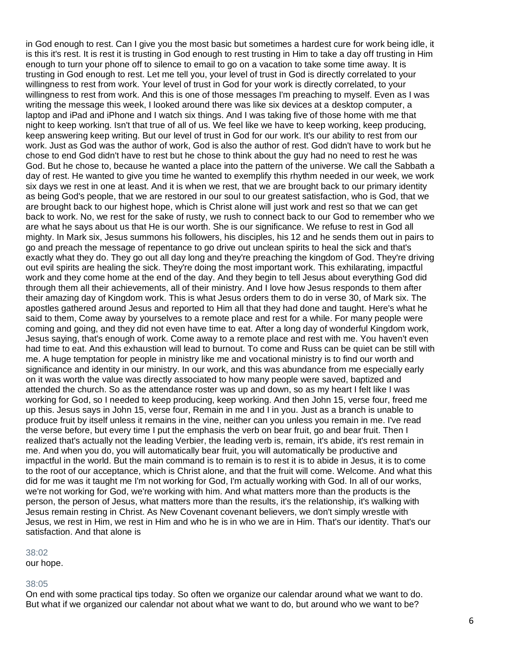in God enough to rest. Can I give you the most basic but sometimes a hardest cure for work being idle, it is this it's rest. It is rest it is trusting in God enough to rest trusting in Him to take a day off trusting in Him enough to turn your phone off to silence to email to go on a vacation to take some time away. It is trusting in God enough to rest. Let me tell you, your level of trust in God is directly correlated to your willingness to rest from work. Your level of trust in God for your work is directly correlated, to your willingness to rest from work. And this is one of those messages I'm preaching to myself. Even as I was writing the message this week, I looked around there was like six devices at a desktop computer, a laptop and iPad and iPhone and I watch six things. And I was taking five of those home with me that night to keep working. Isn't that true of all of us. We feel like we have to keep working, keep producing, keep answering keep writing. But our level of trust in God for our work. It's our ability to rest from our work. Just as God was the author of work, God is also the author of rest. God didn't have to work but he chose to end God didn't have to rest but he chose to think about the guy had no need to rest he was God. But he chose to, because he wanted a place into the pattern of the universe. We call the Sabbath a day of rest. He wanted to give you time he wanted to exemplify this rhythm needed in our week, we work six days we rest in one at least. And it is when we rest, that we are brought back to our primary identity as being God's people, that we are restored in our soul to our greatest satisfaction, who is God, that we are brought back to our highest hope, which is Christ alone will just work and rest so that we can get back to work. No, we rest for the sake of rusty, we rush to connect back to our God to remember who we are what he says about us that He is our worth. She is our significance. We refuse to rest in God all mighty. In Mark six, Jesus summons his followers, his disciples, his 12 and he sends them out in pairs to go and preach the message of repentance to go drive out unclean spirits to heal the sick and that's exactly what they do. They go out all day long and they're preaching the kingdom of God. They're driving out evil spirits are healing the sick. They're doing the most important work. This exhilarating, impactful work and they come home at the end of the day. And they begin to tell Jesus about everything God did through them all their achievements, all of their ministry. And I love how Jesus responds to them after their amazing day of Kingdom work. This is what Jesus orders them to do in verse 30, of Mark six. The apostles gathered around Jesus and reported to Him all that they had done and taught. Here's what he said to them, Come away by yourselves to a remote place and rest for a while. For many people were coming and going, and they did not even have time to eat. After a long day of wonderful Kingdom work, Jesus saying, that's enough of work. Come away to a remote place and rest with me. You haven't even had time to eat. And this exhaustion will lead to burnout. To come and Russ can be quiet can be still with me. A huge temptation for people in ministry like me and vocational ministry is to find our worth and significance and identity in our ministry. In our work, and this was abundance from me especially early on it was worth the value was directly associated to how many people were saved, baptized and attended the church. So as the attendance roster was up and down, so as my heart I felt like I was working for God, so I needed to keep producing, keep working. And then John 15, verse four, freed me up this. Jesus says in John 15, verse four, Remain in me and I in you. Just as a branch is unable to produce fruit by itself unless it remains in the vine, neither can you unless you remain in me. I've read the verse before, but every time I put the emphasis the verb on bear fruit, go and bear fruit. Then I realized that's actually not the leading Verbier, the leading verb is, remain, it's abide, it's rest remain in me. And when you do, you will automatically bear fruit, you will automatically be productive and impactful in the world. But the main command is to remain is to rest it is to abide in Jesus, it is to come to the root of our acceptance, which is Christ alone, and that the fruit will come. Welcome. And what this did for me was it taught me I'm not working for God, I'm actually working with God. In all of our works, we're not working for God, we're working with him. And what matters more than the products is the person, the person of Jesus, what matters more than the results, it's the relationship, it's walking with Jesus remain resting in Christ. As New Covenant covenant believers, we don't simply wrestle with Jesus, we rest in Him, we rest in Him and who he is in who we are in Him. That's our identity. That's our satisfaction. And that alone is

#### 38:02

our hope.

#### 38:05

On end with some practical tips today. So often we organize our calendar around what we want to do. But what if we organized our calendar not about what we want to do, but around who we want to be?